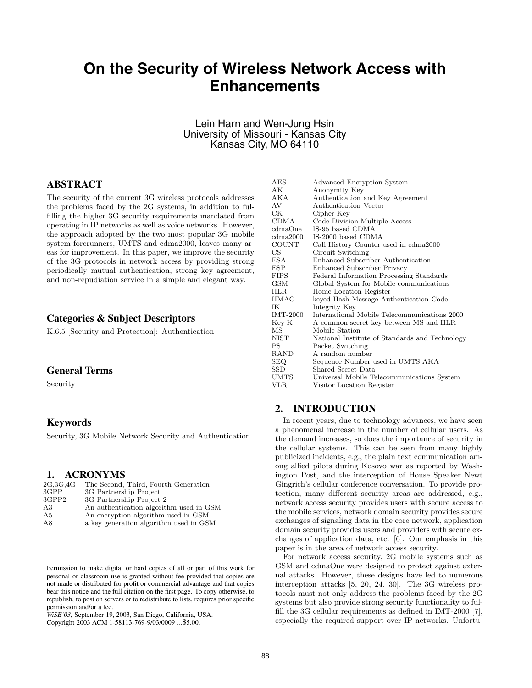# **On the Security of Wireless Network Access with Enhancements**

# Lein Harn and Wen-Jung Hsin University of Missouri - Kansas City Kansas City, MO 64110

# **ABSTRACT**

The security of the current 3G wireless protocols addresses the problems faced by the 2G systems, in addition to fulfilling the higher 3G security requirements mandated from operating in IP networks as well as voice networks. However, the approach adopted by the two most popular 3G mobile system forerunners, UMTS and cdma2000, leaves many areas for improvement. In this paper, we improve the security of the 3G protocols in network access by providing strong periodically mutual authentication, strong key agreement, and non-repudiation service in a simple and elegant way.

# **Categories & Subject Descriptors**

K.6.5 [Security and Protection]: Authentication

# **General Terms**

Security

### **Keywords**

Security, 3G Mobile Network Security and Authentication

#### **1. ACRONYMS**

| 2G.3G.4G | The Second, Third, Fourth Generation    |
|----------|-----------------------------------------|
| 3GPP     | 3G Partnership Project                  |
| 3GPP2    | 3G Partnership Project 2                |
| A3       | An authentication algorithm used in GSM |
| A5       | An encryption algorithm used in GSM     |
| A8       | a key generation algorithm used in GSM  |
|          |                                         |

Permission to make digital or hard copies of all or part of this work for personal or classroom use is granted without fee provided that copies are not made or distributed for profit or commercial advantage and that copies bear this notice and the full citation on the first page. To copy otherwise, to republish, to post on servers or to redistribute to lists, requires prior specific permission and/or a fee.

*WiSE'03,* September 19, 2003, San Diego, California, USA. Copyright 2003 ACM 1-58113-769-9/03/0009 ...\$5.00.

| <b>AES</b>      | Advanced Encryption System                     |
|-----------------|------------------------------------------------|
| AK              | Anonymity Key                                  |
| AKA             | Authentication and Key Agreement               |
| AV              | Authentication Vector                          |
| СK              | Cipher Key                                     |
| CDMA            | Code Division Multiple Access                  |
| cdmaOne         | IS-95 based CDMA                               |
| cdma2000        | IS-2000 based CDMA                             |
| <b>COUNT</b>    | Call History Counter used in cdma2000          |
| CS              | Circuit Switching                              |
| ESA             | Enhanced Subscriber Authentication             |
| ESP             | Enhanced Subscriber Privacy                    |
| <b>FIPS</b>     | Federal Information Processing Standards       |
| GSM             | Global System for Mobile communications        |
| HLR             | Home Location Register                         |
| HMAC            | keyed-Hash Message Authentication Code         |
| ΙK              | Integrity Key                                  |
| <b>IMT-2000</b> | International Mobile Telecommunications 2000   |
| Key K           | A common secret key between MS and HLR         |
| МS              | Mobile Station                                 |
| NIST            | National Institute of Standards and Technology |
| РS              | Packet Switching                               |
| RAND            | A random number                                |
| SEQ.            | Sequence Number used in UMTS AKA               |
| SSD.            | Shared Secret Data                             |
| UMTS            | Universal Mobile Telecommunications System     |
| VLR             | Visitor Location Register                      |

## **2. INTRODUCTION**

In recent years, due to technology advances, we have seen a phenomenal increase in the number of cellular users. As the demand increases, so does the importance of security in the cellular systems. This can be seen from many highly publicized incidents, e.g., the plain text communication among allied pilots during Kosovo war as reported by Washington Post, and the interception of House Speaker Newt Gingrich's cellular conference conversation. To provide protection, many different security areas are addressed, e.g., network access security provides users with secure access to the mobile services, network domain security provides secure exchanges of signaling data in the core network, application domain security provides users and providers with secure exchanges of application data, etc. [6]. Our emphasis in this paper is in the area of network access security.

For network access security, 2G mobile systems such as GSM and cdmaOne were designed to protect against external attacks. However, these designs have led to numerous interception attacks [5, 20, 24, 30]. The 3G wireless protocols must not only address the problems faced by the 2G systems but also provide strong security functionality to fulfill the 3G cellular requirements as defined in IMT-2000 [7], especially the required support over IP networks. Unfortu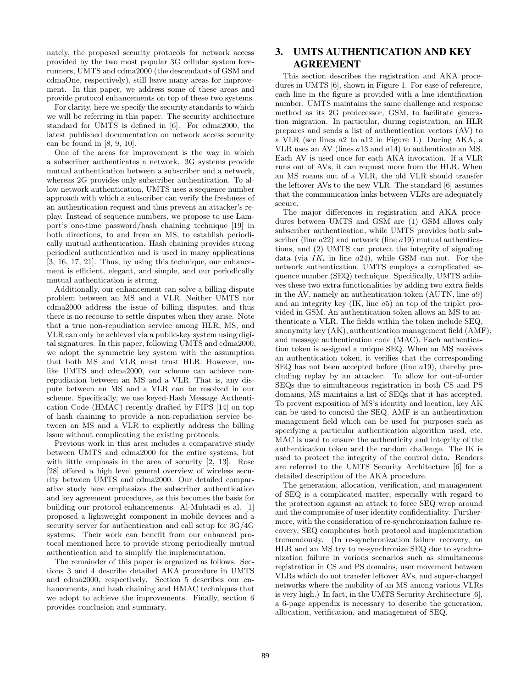nately, the proposed security protocols for network access provided by the two most popular 3G cellular system forerunners, UMTS and cdma2000 (the descendants of GSM and cdmaOne, respectively), still leave many areas for improvement. In this paper, we address some of these areas and provide protocol enhancements on top of these two systems.

For clarity, here we specify the security standards to which we will be referring in this paper. The security architecture standard for UMTS is defined in [6]. For cdma2000, the latest published documentation on network access security can be found in  $[8, 9, 10]$ .

One of the areas for improvement is the way in which a subscriber authenticates a network. 3G systems provide mutual authentication between a subscriber and a network, whereas 2G provides only subscriber authentication. To allow network authentication, UMTS uses a sequence number approach with which a subscriber can verify the freshness of an authentication request and thus prevent an attacker's replay. Instead of sequence numbers, we propose to use Lamport's one-time password/hash chaining technique [19] in both directions, to and from an MS, to establish periodically mutual authentication. Hash chaining provides strong periodical authentication and is used in many applications [3, 16, 17, 21]. Thus, by using this technique, our enhancement is efficient, elegant, and simple, and our periodically mutual authentication is strong.

Additionally, our enhancement can solve a billing dispute problem between an MS and a VLR. Neither UMTS nor cdma2000 address the issue of billing disputes, and thus there is no recourse to settle disputes when they arise. Note that a true non-repudiation service among HLR, MS, and VLR can only be achieved via a public-key system using digital signatures. In this paper, following UMTS and cdma2000, we adopt the symmetric key system with the assumption that both MS and VLR must trust HLR. However, unlike UMTS and cdma2000, our scheme can achieve nonrepudiation between an MS and a VLR. That is, any dispute between an MS and a VLR can be resolved in our scheme. Specifically, we use keyed-Hash Message Authentication Code (HMAC) recently drafted by FIPS [14] on top of hash chaining to provide a non-repudiation service between an MS and a VLR to explicitly address the billing issue without complicating the existing protocols.

Previous work in this area includes a comparative study between UMTS and cdma2000 for the entire systems, but with little emphasis in the area of security [2, 13]. Rose [28] offered a high level general overview of wireless security between UMTS and cdma2000. Our detailed comparative study here emphasizes the subscriber authentication and key agreement procedures, as this becomes the basis for building our protocol enhancements. Al-Muhtadi et al. [1] proposed a lightweight component in mobile devices and a security server for authentication and call setup for 3G/4G systems. Their work can benefit from our enhanced protocol mentioned here to provide strong periodically mutual authentication and to simplify the implementation.

The remainder of this paper is organized as follows. Sections 3 and 4 describe detailed AKA procedure in UMTS and cdma2000, respectively. Section 5 describes our enhancements, and hash chaining and HMAC techniques that we adopt to achieve the improvements. Finally, section 6 provides conclusion and summary.

# **3. UMTS AUTHENTICATION AND KEY AGREEMENT**

This section describes the registration and AKA procedures in UMTS [6], shown in Figure 1. For ease of reference, each line in the figure is provided with a line identification number. UMTS maintains the same challenge and response method as its 2G predecessor, GSM, to facilitate generation migration. In particular, during registration, an HLR prepares and sends a list of authentication vectors (AV) to a VLR (see lines *a*2 to *a*12 in Figure 1.) During AKA, a VLR uses an AV (lines *a*13 and *a*14) to authenticate an MS. Each AV is used once for each AKA invocation. If a VLR runs out of AVs, it can request more from the HLR. When an MS roams out of a VLR, the old VLR should transfer the leftover AVs to the new VLR. The standard [6] assumes that the communication links between VLRs are adequately secure.

The major differences in registration and AKA procedures between UMTS and GSM are (1) GSM allows only subscriber authentication, while UMTS provides both subscriber (line *a*22) and network (line *a*19) mutual authentications, and (2) UMTS can protect the integrity of signaling data (via *IK<sup>i</sup>* in line *<sup>a</sup>*24), while GSM can not. For the network authentication, UMTS employs a complicated sequence number (SEQ) technique. Specifically, UMTS achieves these two extra functionalities by adding two extra fields in the AV, namely an authentication token (AUTN, line *a*9) and an integrity key (IK, line *a*5) on top of the triplet provided in GSM. An authentication token allows an MS to authenticate a VLR. The fields within the token include SEQ, anonymity key (AK), authentication management field (AMF), and message authentication code (MAC). Each authentication token is assigned a unique SEQ. When an MS receives an authentication token, it verifies that the corresponding SEQ has not been accepted before (line *a*19), thereby precluding replay by an attacker. To allow for out-of-order SEQs due to simultaneous registration in both CS and PS domains, MS maintains a list of SEQs that it has accepted. To prevent exposition of MS's identity and location, key AK can be used to conceal the SEQ. AMF is an authentication management field which can be used for purposes such as specifying a particular authentication algorithm used, etc. MAC is used to ensure the authenticity and integrity of the authentication token and the random challenge. The IK is used to protect the integrity of the control data. Readers are referred to the UMTS Security Architecture [6] for a detailed description of the AKA procedure.

The generation, allocation, verification, and management of SEQ is a complicated matter, especially with regard to the protection against an attack to force SEQ wrap around and the compromise of user identity confidentiality. Furthermore, with the consideration of re-synchronization failure recovery, SEQ complicates both protocol and implementation tremendously. (In re-synchronization failure recovery, an HLR and an MS try to re-synchronize SEQ due to synchronization failure in various scenarios such as simultaneous registration in CS and PS domains, user movement between VLRs which do not transfer leftover AVs, and super-charged networks where the mobility of an MS among various VLRs is very high.) In fact, in the UMTS Security Architecture [6], a 6-page appendix is necessary to describe the generation, allocation, verification, and management of SEQ.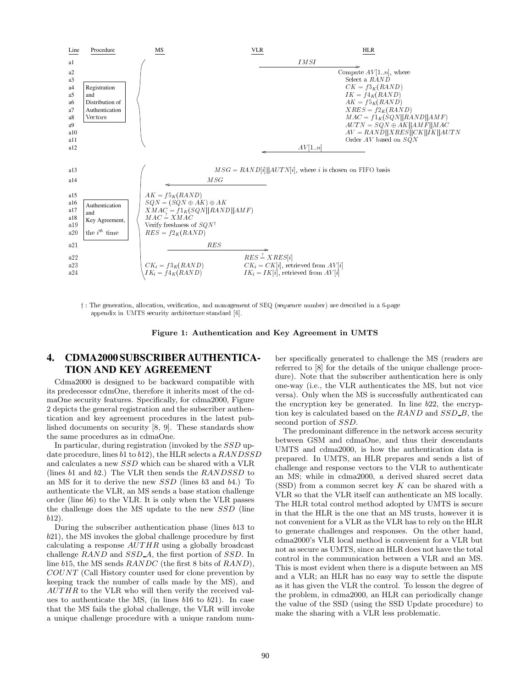

† : The generation, allocation, verification, and management of SEO (sequence number) are described in a 6-page appendix in UMTS security architecture standard [6].

**Figure 1: Authentication and Key Agreement in UMTS**

# **4. CDMA2000 SUBSCRIBER AUTHENTICA-TION AND KEY AGREEMENT**

Cdma2000 is designed to be backward compatible with its predecessor cdmOne, therefore it inherits most of the cdmaOne security features. Specifically, for cdma2000, Figure 2 depicts the general registration and the subscriber authentication and key agreement procedures in the latest published documents on security [8, 9]. These standards show the same procedures as in cdmaOne.

In particular, during registration (invoked by the *SSD* update procedure, lines *b*1 to *b*12), the HLR selects a *RANDSSD* and calculates a new *SSD* which can be shared with a VLR (lines *b*1 and *b*2.) The VLR then sends the *RANDSSD* to an MS for it to derive the new *SSD* (lines *b*3 and *b*4.) To authenticate the VLR, an MS sends a base station challenge order (line *b*6) to the VLR. It is only when the VLR passes the challenge does the MS update to the new *SSD* (line *b*12).

During the subscriber authentication phase (lines *b*13 to *b*21), the MS invokes the global challenge procedure by first calculating a response *AUT HR* using a globally broadcast challenge *RAND* and *SSD <sup>A</sup>*, the first portion of *SSD*. In line *b*15, the MS sends *RANDC* (the first 8 bits of *RAND*), *COUNT* (Call History counter used for clone prevention by keeping track the number of calls made by the MS), and *AUT HR* to the VLR who will then verify the received values to authenticate the MS, (in lines *b*16 to *b*21). In case that the MS fails the global challenge, the VLR will invoke a unique challenge procedure with a unique random number specifically generated to challenge the MS (readers are referred to [8] for the details of the unique challenge procedure). Note that the subscriber authentication here is only one-way (i.e., the VLR authenticates the MS, but not vice versa). Only when the MS is successfully authenticated can the encryption key be generated. In line *b*22, the encryption key is calculated based on the *RAND* and *SSD B*, the second portion of *SSD*.

The predominant difference in the network access security between GSM and cdmaOne, and thus their descendants UMTS and cdma2000, is how the authentication data is prepared. In UMTS, an HLR prepares and sends a list of challenge and response vectors to the VLR to authenticate an MS; while in cdma2000, a derived shared secret data (SSD) from a common secret key *K* can be shared with a VLR so that the VLR itself can authenticate an MS locally. The HLR total control method adopted by UMTS is secure in that the HLR is the one that an MS trusts, however it is not convenient for a VLR as the VLR has to rely on the HLR to generate challenges and responses. On the other hand, cdma2000's VLR local method is convenient for a VLR but not as secure as UMTS, since an HLR does not have the total control in the communication between a VLR and an MS. This is most evident when there is a dispute between an MS and a VLR; an HLR has no easy way to settle the dispute as it has given the VLR the control. To lesson the degree of the problem, in cdma2000, an HLR can periodically change the value of the SSD (using the SSD Update procedure) to make the sharing with a VLR less problematic.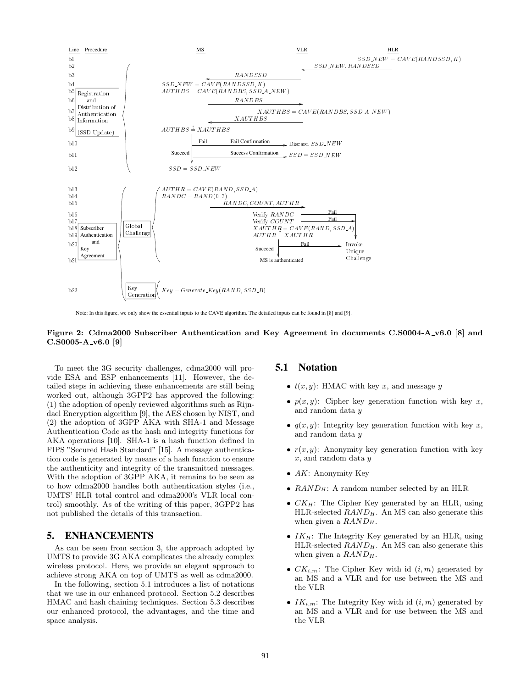

Note: In this figure, we only show the essential inputs to the CAVE algorithm. The detailed inputs can be found in [8] and [9].

#### **Figure 2: Cdma2000 Subscriber Authentication and Key Agreement in documents C.S0004-A v6.0 [8] and C.S0005-A v6.0 [9]**

To meet the 3G security challenges, cdma2000 will provide ESA and ESP enhancements [11]. However, the detailed steps in achieving these enhancements are still being worked out, although 3GPP2 has approved the following: (1) the adoption of openly reviewed algorithms such as Rijndael Encryption algorithm [9], the AES chosen by NIST, and (2) the adoption of 3GPP AKA with SHA-1 and Message Authentication Code as the hash and integrity functions for AKA operations [10]. SHA-1 is a hash function defined in FIPS "Secured Hash Standard" [15]. A message authentication code is generated by means of a hash function to ensure the authenticity and integrity of the transmitted messages. With the adoption of 3GPP AKA, it remains to be seen as to how cdma2000 handles both authentication styles (i.e., UMTS' HLR total control and cdma2000's VLR local control) smoothly. As of the writing of this paper, 3GPP2 has not published the details of this transaction.

## **5. ENHANCEMENTS**

As can be seen from section 3, the approach adopted by UMTS to provide 3G AKA complicates the already complex wireless protocol. Here, we provide an elegant approach to achieve strong AKA on top of UMTS as well as cdma2000.

In the following, section 5.1 introduces a list of notations that we use in our enhanced protocol. Section 5.2 describes HMAC and hash chaining techniques. Section 5.3 describes our enhanced protocol, the advantages, and the time and space analysis.

## **5.1 Notation**

- $t(x, y)$ : HMAC with key *x*, and message *y*
- $p(x, y)$ : Cipher key generation function with key  $x$ , and random data *y*
- $q(x, y)$ : Integrity key generation function with key  $x$ , and random data *y*
- $r(x, y)$ : Anonymity key generation function with key *x*, and random data *y*
- *AK*: Anonymity Key
- *RAND<sub>H</sub>*: A random number selected by an HLR
- *CK<sup>H</sup>*: The Cipher Key generated by an HLR, using HLR-selected *RAND<sup>H</sup>*. An MS can also generate this when given a *RAND<sup>H</sup>*.
- *IK<sub>H</sub>*: The Integrity Key generated by an HLR, using HLR-selected *RAND<sup>H</sup>*. An MS can also generate this when given a *RAND<sup>H</sup>*.
- $CK_{i,m}$ : The Cipher Key with id  $(i,m)$  generated by an MS and a VLR and for use between the MS and the VLR
- $IK_{i,m}$ : The Integrity Key with id  $(i, m)$  generated by an MS and a VLR and for use between the MS and the VLR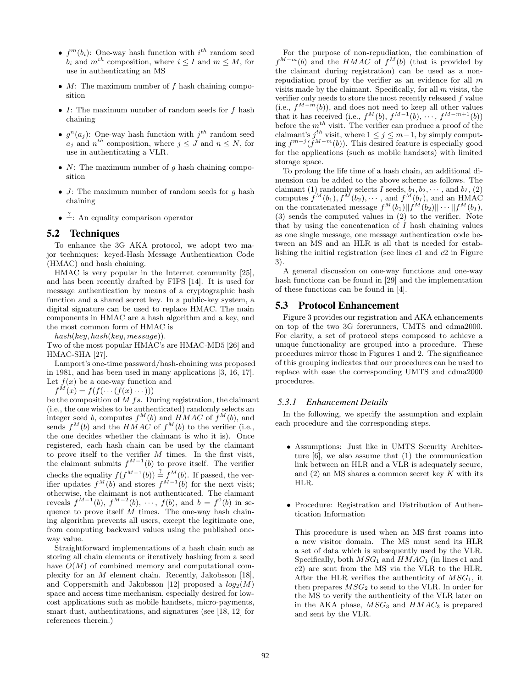- $f^m(b_i)$ : One-way hash function with  $i^{th}$  random seed<br>*b* and  $m^{th}$  composition where  $i \leq I$  and  $m \leq M$  for  $b_i$  and  $m^{th}$  composition, where  $i \leq I$  and  $m \leq M$ , for use in authenticating an MS
- *M*: The maximum number of *f* hash chaining composition
- *I*: The maximum number of random seeds for *f* hash chaining
- $g^{n}(a_i)$ : One-way hash function with  $j^{th}$  random seed  $a_j$  and  $n^{th}$  composition, where  $j \leq J$  and  $n \leq N$ , for use in authenticating a VLR.
- *N*: The maximum number of *q* hash chaining composition
- *J*: The maximum number of random seeds for *g* hash chaining
- $\stackrel{?}{=}$ : An equality comparison operator

# **5.2 Techniques**

To enhance the 3G AKA protocol, we adopt two major techniques: keyed-Hash Message Authentication Code (HMAC) and hash chaining.

HMAC is very popular in the Internet community [25], and has been recently drafted by FIPS [14]. It is used for message authentication by means of a cryptographic hash function and a shared secret key. In a public-key system, a digital signature can be used to replace HMAC. The main components in HMAC are a hash algorithm and a key, and the most common form of HMAC is

*hash*(*key, hash*(*key, message*)).

Two of the most popular HMAC's are HMAC-MD5 [26] and HMAC-SHA [27].

Lamport's one-time password/hash-chaining was proposed in 1981, and has been used in many applications [3, 16, 17]. Let  $f(x)$  be a one-way function and

 $f^{M}(x) = f(f(\cdots(f(x) \cdots)))$ 

be the composition of *M fs*. During registration, the claimant (i.e., the one wishes to be authenticated) randomly selects an integer seed *b*, computes  $f^M(b)$  and  $HMAC$  of  $f^M(b)$ , and sends  $f^M(b)$  and the  $HMAC$  of  $f^M(b)$  to the verifier (i.e. sends  $f^M(b)$  and the *HMAC* of  $f^M(b)$  to the verifier (i.e., the one decides whether the claimant is who it is). Once the one decides whether the claimant is who it is). Once registered, each hash chain can be used by the claimant to prove itself to the verifier  $M$  times. In the first visit, to prove itself to the verifier *M* times. In the first visit,<br>the claimant submits  $f^{M-1}(h)$  to prove itself. The verifier the claimant submits  $f^{M-1}(b)$  to prove itself. The verifier checks the equality  $f(f^{M-1}(b)) \stackrel{?}{=} f^M(b)$ . If passed, the ver-<br>ifier undates  $f^M(b)$  and stores  $f^{M-1}(b)$  for the next visit ifier updates  $f^M(b)$  and stores  $f^{M-1}(b)$  for the next visit;<br>otherwise the claimant is not authenticated. The claimant otherwise, the claimant is not authenticated. The claimant reveals  $f^{M-1}(b)$ ,  $f^{M-2}(b)$ , ···,  $f(b)$ , and  $b = f^{0}(b)$  in sequence to prove itself M times. The one-way bash chainquence to prove itself *M* times. The one-way hash chaining algorithm prevents all users, except the legitimate one, from computing backward values using the published oneway value.

Straightforward implementations of a hash chain such as storing all chain elements or iteratively hashing from a seed have  $O(M)$  of combined memory and computational complexity for an *M* element chain. Recently, Jakobsson [18], and Coppersmith and Jakobsson [12] proposed a  $log_2(M)$ space and access time mechanism, especially desired for lowcost applications such as mobile handsets, micro-payments, smart dust, authentications, and signatures (see [18, 12] for references therein.)

For the purpose of non-repudiation, the combination of  $f^{M-m}(b)$  and the *HMAC* of  $f^M(b)$  (that is provided by the claimant during registration) can be used as a nonrepudiation proof by the verifier as an evidence for all *m* visits made by the claimant. Specifically, for all *m* visits, the verifier only needs to store the most recently released *f* value (i.e.,  $f^{M-m}(b)$ ), and does not need to keep all other values that it has received (i.e.,  $f^M(b)$ ,  $f^{M-1}(b)$ , ···,  $f^{M-m+1}(b)$ ) before the  $m^{th}$  visit. The verifier can produce a proof of the before the  $m^{th}$  visit. The verifier can produce a proof of the claimant's  $i^{th}$  visit, where  $1 \leq i \leq m-1$  by simply computclaimant's  $j^{th}$  visit, where  $1 \leq j \leq m-1$ , by simply comput-<br>ing  $f^{m-j}(f^{M-m}(h))$  This desired feature is especially good  $\int_{0}^{\infty} f^{m-j}(f^{M-m}(b))$ . This desired feature is especially good for the applications (such as mobile handsets) with limited for the applications (such as mobile handsets) with limited storage space.

To prolong the life time of a hash chain, an additional dimension can be added to the above scheme as follows. The claimant (1) randomly selects  $I$  seeds,  $b_1, b_2, \dots$ , and  $b_I$ , (2) claimant (1) randomly selects *I* seeds,  $b_1, b_2, \dots$ , and  $b_I$ , (2) computes  $f^M(b_1), f^M(b_2), \dots$  and  $f^M(b_I)$  and an HMAC computes  $f^M(b_1), f^M(b_2), \cdots$ , and  $f^M(b_I)$ , and an HMAC<br>on the concatenated message  $f^M(b_1), ||f^M(b_2)|| \cdots ||f^M(b_I)$ on the concatenated message  $f^M(b_1)||f^M(b_2)||\cdots||f^M(b_I),$ <br>(3) sends the computed values in (2) to the verifier. Note (3) sends the computed values in (2) to the verifier. Note that by using the concatenation of *I* hash chaining values as one single message, one message authentication code between an MS and an HLR is all that is needed for establishing the initial registration (see lines *c*1 and *c*2 in Figure 3).

A general discussion on one-way functions and one-way hash functions can be found in [29] and the implementation of these functions can be found in [4].

### **5.3 Protocol Enhancement**

Figure 3 provides our registration and AKA enhancements on top of the two 3G forerunners, UMTS and cdma2000. For clarity, a set of protocol steps composed to achieve a unique functionality are grouped into a procedure. These procedures mirror those in Figures 1 and 2. The significance of this grouping indicates that our procedures can be used to replace with ease the corresponding UMTS and cdma2000 procedures.

#### *5.3.1 Enhancement Details*

In the following, we specify the assumption and explain each procedure and the corresponding steps.

- Assumptions: Just like in UMTS Security Architecture [6], we also assume that (1) the communication link between an HLR and a VLR is adequately secure, and (2) an MS shares a common secret key *K* with its HLR.
- Procedure: Registration and Distribution of Authentication Information

This procedure is used when an MS first roams into a new visitor domain. The MS must send its HLR a set of data which is subsequently used by the VLR. Specifically, both *MSG*<sup>1</sup> and *HMAC*<sup>1</sup> (in lines c1 and c2) are sent from the MS via the VLR to the HLR. After the HLR verifies the authenticity of *MSG*<sup>1</sup>, it then prepares  $MSG_2$  to send to the VLR. In order for the MS to verify the authenticity of the VLR later on in the AKA phase,  $MSG_3$  and  $HMAC_3$  is prepared and sent by the VLR.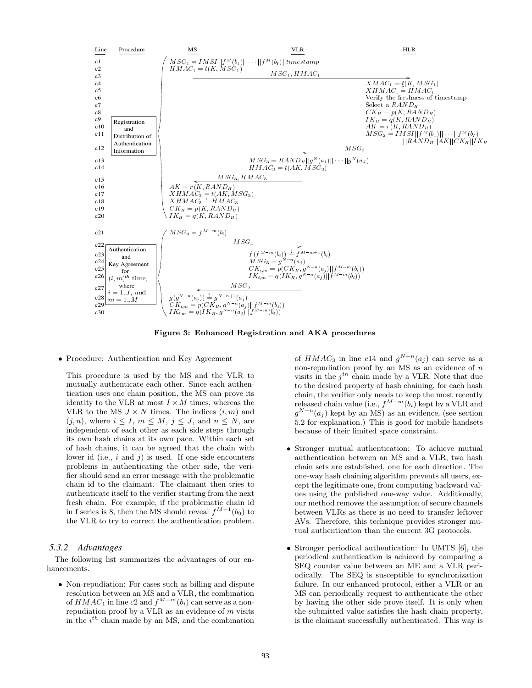

**Figure 3: Enhanced Registration and AKA procedures**

• Procedure: Authentication and Key Agreement

This procedure is used by the MS and the VLR to mutually authenticate each other. Since each authentication uses one chain position, the MS can prove its identity to the VLR at most  $I \times M$  times, whereas the VLR to the MS  $J \times N$  times. The indices  $(i, m)$  and  $(j, n)$ , where  $i \leq I$ ,  $m \leq M$ ,  $j \leq J$ , and  $n \leq N$ , are independent of each other as each side steps through its own hash chains at its own pace. Within each set of hash chains, it can be agreed that the chain with lower id (i.e., *i* and *j*) is used. If one side encounters problems in authenticating the other side, the verifier should send an error message with the problematic chain id to the claimant. The claimant then tries to authenticate itself to the verifier starting from the next fresh chain. For example, if the problematic chain id in f series is 8, then the MS should reveal  $f^{M-1}(b_9)$  to the VLR to try to correct the authentication problem.

#### *5.3.2 Advantages*

The following list summarizes the advantages of our enhancements.

• Non-repudiation: For cases such as billing and dispute resolution between an MS and a VLR, the combination of  $HMAC_1$  in line  $c2$  and  $f^{M-m}(b_i)$  can serve as a nonrepudiation proof by a VLR as an evidence of *m* visits in the *i th* chain made by an MS, and the combination

of *HMAC*<sub>3</sub> in line *c*14 and  $g^{N-n}(a_j)$  can serve as a non-repudiation proof by an MS as an evidence of *n* visits in the *jth* chain made by a VLR. Note that due to the desired property of hash chaining, for each hash chain, the verifier only needs to keep the most recently released chain value (i.e.,  $f^{M-m}(b_i)$  kept by a VLR and  $a^{N-n}(a_i)$  kept by an MS) as an evidence (see section  $g^{N-n}(a_j)$  kept by an MS) as an evidence, (see section  $5.2$  for explanation). This is good for mobile handsets 5.2 for explanation.) This is good for mobile handsets because of their limited space constraint.

- Stronger mutual authentication: To achieve mutual authentication between an MS and a VLR, two hash chain sets are established, one for each direction. The one-way hash chaining algorithm prevents all users, except the legitimate one, from computing backward values using the published one-way value. Additionally, our method removes the assumption of secure channels between VLRs as there is no need to transfer leftover AVs. Therefore, this technique provides stronger mutual authentication than the current 3G protocols.
- Stronger periodical authentication: In UMTS [6], the periodical authentication is achieved by comparing a SEQ counter value between an ME and a VLR periodically. The SEQ is susceptible to synchronization failure. In our enhanced protocol, either a VLR or an MS can periodically request to authenticate the other by having the other side prove itself. It is only when the submitted value satisfies the hash chain property, is the claimant successfully authenticated. This way is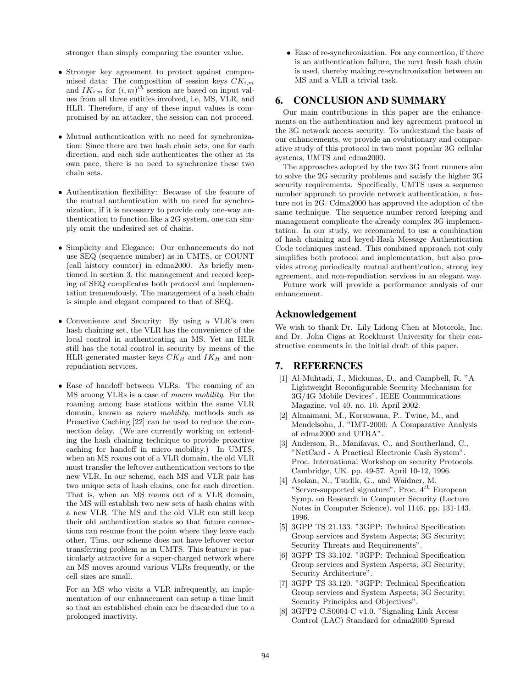stronger than simply comparing the counter value.

- Stronger key agreement to protect against compromised data: The composition of session keys *CKi,m* and  $IK_{i,m}$  for  $(i, m)^{th}$  session are based on input values from all three entities involved i.e. MS, VLB, and ues from all three entities involved, i.e, MS, VLR, and HLR. Therefore, if any of these input values is compromised by an attacker, the session can not proceed.
- Mutual authentication with no need for synchronization: Since there are two hash chain sets, one for each direction, and each side authenticates the other at its own pace, there is no need to synchronize these two chain sets.
- Authentication flexibility: Because of the feature of the mutual authentication with no need for synchronization, if it is necessary to provide only one-way authentication to function like a 2G system, one can simply omit the undesired set of chains.
- Simplicity and Elegance: Our enhancements do not use SEQ (sequence number) as in UMTS, or COUNT (call history counter) in cdma2000. As briefly mentioned in section 3, the management and record keeping of SEQ complicates both protocol and implementation tremendously. The management of a hash chain is simple and elegant compared to that of SEQ.
- Convenience and Security: By using a VLR's own hash chaining set, the VLR has the convenience of the local control in authenticating an MS. Yet an HLR still has the total control in security by means of the HLR-generated master keys  $CK_H$  and  $IK_H$  and nonrepudiation services.
- Ease of handoff between VLRs: The roaming of an MS among VLRs is a case of *macro mobility*. For the roaming among base stations within the same VLR domain, known as *micro mobility*, methods such as Proactive Caching [22] can be used to reduce the connection delay. (We are currently working on extending the hash chaining technique to provide proactive caching for handoff in micro mobility.) In UMTS, when an MS roams out of a VLR domain, the old VLR must transfer the leftover authentication vectors to the new VLR. In our scheme, each MS and VLR pair has two unique sets of hash chains, one for each direction. That is, when an MS roams out of a VLR domain, the MS will establish two new sets of hash chains with a new VLR. The MS and the old VLR can still keep their old authentication states so that future connections can resume from the point where they leave each other. Thus, our scheme does not have leftover vector transferring problem as in UMTS. This feature is particularly attractive for a super-charged network where an MS moves around various VLRs frequently, or the cell sizes are small.

For an MS who visits a VLR infrequently, an implementation of our enhancement can setup a time limit so that an established chain can be discarded due to a prolonged inactivity.

• Ease of re-synchronization: For any connection, if there is an authentication failure, the next fresh hash chain is used, thereby making re-synchronization between an MS and a VLR a trivial task.

# **6. CONCLUSION AND SUMMARY**

Our main contributions in this paper are the enhancements on the authentication and key agreement protocol in the 3G network access security. To understand the basis of our enhancements, we provide an evolutionary and comparative study of this protocol in two most popular 3G cellular systems, UMTS and cdma2000.

The approaches adopted by the two 3G front runners aim to solve the 2G security problems and satisfy the higher 3G security requirements. Specifically, UMTS uses a sequence number approach to provide network authentication, a feature not in 2G. Cdma2000 has approved the adoption of the same technique. The sequence number record keeping and management complicate the already complex 3G implementation. In our study, we recommend to use a combination of hash chaining and keyed-Hash Message Authentication Code techniques instead. This combined approach not only simplifies both protocol and implementation, but also provides strong periodically mutual authentication, strong key agreement, and non-repudiation services in an elegant way.

Future work will provide a performance analysis of our enhancement.

# **Acknowledgement**

We wish to thank Dr. Lily Lidong Chen at Motorola, Inc. and Dr. John Cigas at Rockhurst University for their constructive comments in the initial draft of this paper.

# **7. REFERENCES**

- [1] Al-Muhtadi, J., Mickunas, D., and Campbell, R. "A Lightweight Reconfigurable Security Mechanism for 3G/4G Mobile Devices". IEEE Communications Magazine. vol 40. no. 10. April 2002.
- [2] Almaimani, M., Korsuwana, P., Twine, M., and Mendelsohn, J. "IMT-2000: A Comparative Analysis of cdma2000 and UTRA".
- [3] Anderson, R., Manifavas, C., and Southerland, C., "NetCard - A Practical Electronic Cash System". Proc. International Workshop on security Protocols. Cambridge, UK. pp. 49-57. April 10-12, 1996.
- [4] Asokan, N., Tsudik, G., and Waidner, M. "Server-supported signature". Proc. 4*th* European Symp. on Research in Computer Security (Lecture Notes in Computer Science). vol 1146. pp. 131-143. 1996.
- [5] 3GPP TS 21.133. "3GPP: Technical Specification Group services and System Aspects; 3G Security; Security Threats and Requirements".
- [6] 3GPP TS 33.102. "3GPP: Technical Specification Group services and System Aspects; 3G Security; Security Architecture".
- [7] 3GPP TS 33.120. "3GPP: Technical Specification Group services and System Aspects; 3G Security; Security Principles and Objectives".
- [8] 3GPP2 C.S0004-C v1.0. "Signaling Link Access Control (LAC) Standard for cdma2000 Spread